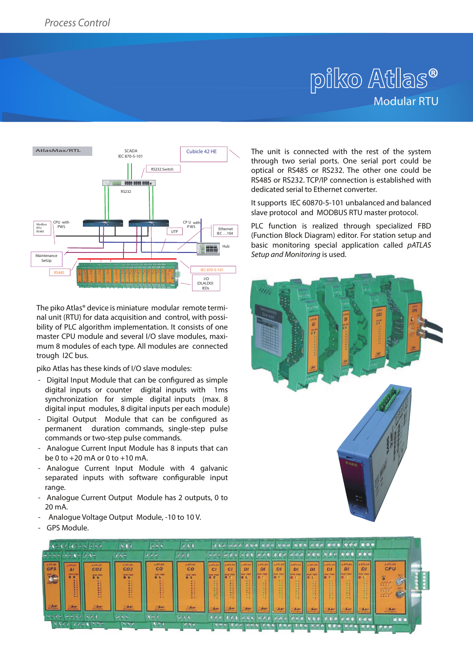# piko Atlas<sup>®</sup> Modular RTU



The piko Atlas® device is miniature modular remote terminal unit (RTU) for data acquisition and control, with possibility of PLC algorithm implementation. It consists of one master CPU module and several I/O slave modules, maximum 8 modules of each type. All modules are connected trough I2C bus.

piko Atlas has these kinds of I/O slave modules:

- Digital Input Module that can be configured as simple digital inputs or counter digital inputs with 1ms synchronization for simple digital inputs (max. 8 digital input modules, 8 digital inputs per each module)
- Digital Output Module that can be configured as permanent duration commands, single-step pulse commands or two-step pulse commands.
- Analogue Current Input Module has 8 inputs that can be 0 to +20 mA or 0 to +10 mA.
- Analogue Current Input Module with 4 galvanic separated inputs with software configurable input range.
- Analogue Current Output Module has 2 outputs, 0 to 20 mA.
- Analogue Voltage Output Module, -10 to 10 V.
- GPS Module.

The unit is connected with the rest of the system through two serial ports. One serial port could be optical or RS485 or RS232. The other one could be RS485 or RS232. TCP/IP connection is established with dedicated serial to Ethernet converter.

It supports IEC 60870-5-101 unbalanced and balanced slave protocol and MODBUS RTU master protocol.

PLC function is realized through specialized FBD (Function Block Diagram) editor. For station setup and basic monitoring special application called *pATLAS Setup and Monitoring* is used.